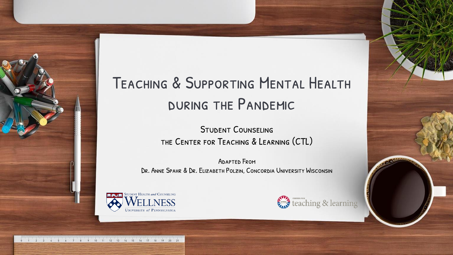#### Teaching & Supporting Mental Health during the Pandemic

Student Counseling the Center for Teaching & Learning (CTL)

Adapted From Dr. Anne Spahr & Dr. Elizabeth Polzin, Concordia University Wisconsin





9 10 11 12 13 14 15 16 17 18 19 20 21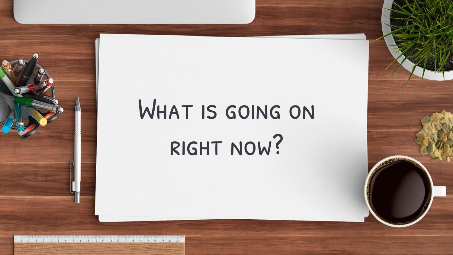# WHAT IS GOING ON right now?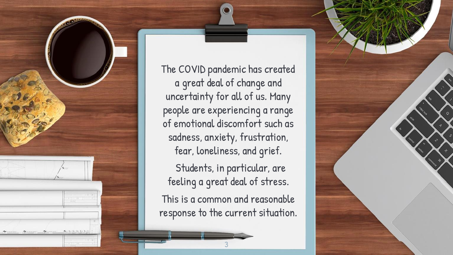

The COVID pandemic has created a great deal of change and uncertainty for all of us. Many people are experiencing a range of emotional discomfort such as sadness, anxiety, frustration, fear, loneliness, and grief.

Students, in particular, are feeling a great deal of stress.

This is a common and reasonable response to the current situation.

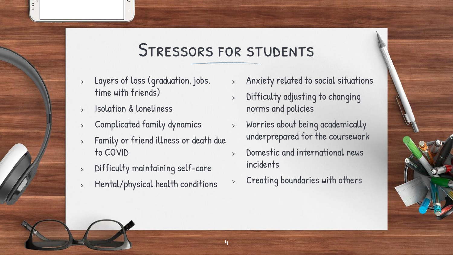#### Stressors for students

- <sup>&</sup>gt; Layers of loss (graduation, jobs, time with friends)
- <sup>&</sup>gt; Isolation & loneliness
- <sup>&</sup>gt; Complicated family dynamics
- <sup>&</sup>gt; Family or friend illness or death due to COVID
- <sup>&</sup>gt; Difficulty maintaining self-care
- <sup>&</sup>gt; Mental/physical health conditions
- <sup>&</sup>gt; Anxiety related to social situations
- <sup>&</sup>gt; Difficulty adjusting to changing norms and policies
- <sup>&</sup>gt; Worries about being academically underprepared for the coursework
- <sup>&</sup>gt; Domestic and international news incidents
- <sup>&</sup>gt; Creating boundaries with others

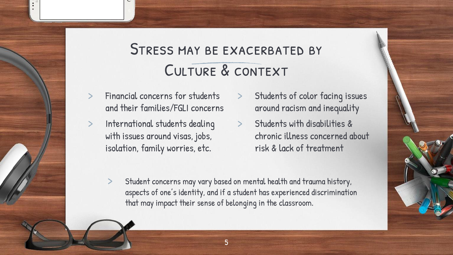#### STRESS MAY BE EXACERBATED BY CULTURE & CONTEXT

- Financial concerns for students and their families/FGLI concerns
- International students dealing with issues around visas, jobs, isolation, family worries, etc.
- Students of color facing issues around racism and inequality
- > Students with disabilities & chronic illness concerned about risk & lack of treatment
- Student concerns may vary based on mental health and trauma history, aspects of one's identity, and if a student has experienced discrimination that may impact their sense of belonging in the classroom.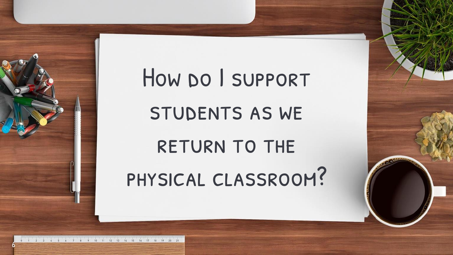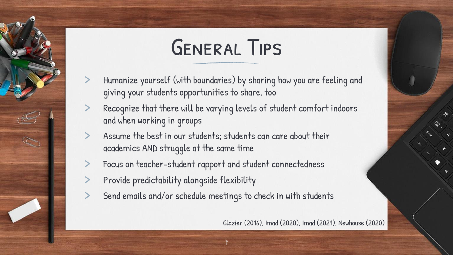# General Tips

- Humanize yourself (with boundaries) by sharing how you are feeling and giving your students opportunities to share, too
- Recognize that there will be varying levels of student comfort indoors and when working in groups
- Assume the best in our students; students can care about their academics AND struggle at the same time
- Focus on teacher-student rapport and student connectedness
- Provide predictability alongside flexibility

C

Send emails and/or schedule meetings to check in with students

Glazier (2016), Imad (2020), Imad (2021), Newhouse (2020)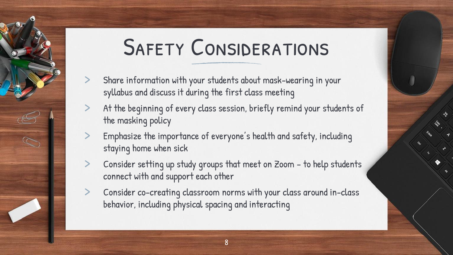# **SAFETY CONSIDERATIONS**

- Share information with your students about mask-wearing in your syllabus and discuss it during the first class meeting
- At the beginning of every class session, briefly remind your students of the masking policy
- Emphasize the importance of everyone's health and safety, including staying home when sick

 $\infty$ 

- Consider setting up study groups that meet on Zoom to help students connect with and support each other
- Consider co-creating classroom norms with your class around in-class behavior, including physical spacing and interacting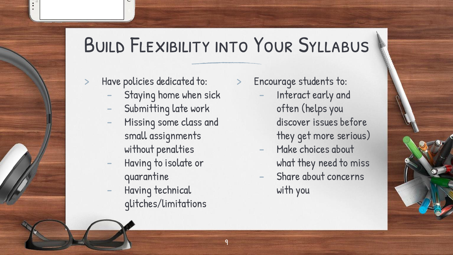## Build Flexibility into Your Syllabus

9

Have policies dedicated to:

- Staying home when sick
- Submitting late work
- Missing some class and small assignments without penalties
- Having to isolate or quarantine
- Having technical glitches/limitations

> Encourage students to:

- Interact early and often (helps you discover issues before they get more serious)
- Make choices about what they need to miss
- Share about concerns with you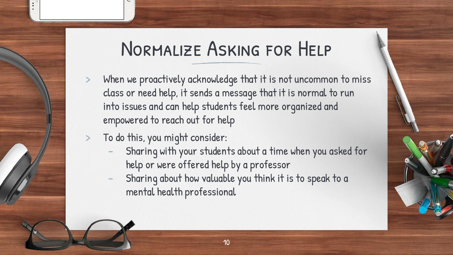### Normalize Asking for Help

- When we proactively acknowledge that it is not uncommon to miss class or need help, it sends a message that it is normal to run into issues and can help students feel more organized and empowered to reach out for help
- > To do this, you might consider:
	- Sharing with your students about a time when you asked for help or were offered help by a professor
	- Sharing about how valuable you think it is to speak to a mental health professional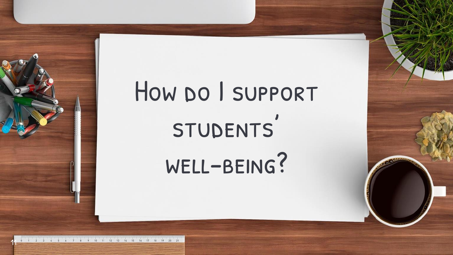# How po I support STUDENTS' well-being?

3 4 5 6 7 8 9 10 11 12 13 14 15 16 17 18 19 20 21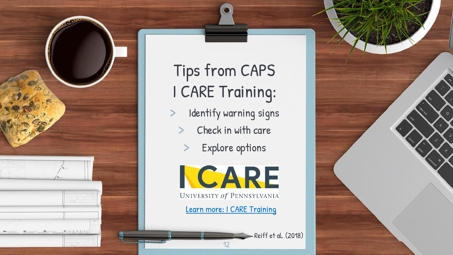

## Tips from CAPS I CARE Training:

- Identify warning signs
	- Check in with care
		- Explore options



UNIVERSITY of PENNSYLVANIA

12

[Learn more: I CARE Training](https://caps.wellness.upenn.edu/icare/)

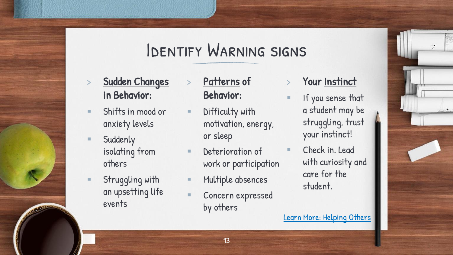#### Identify Warning signs

- Sudden Changes in Behavior:
- Shifts in mood or anxiety levels
- Suddenly isolating from others
- Struggling with an upsetting life events
- Patterns of Behavior:
- **E** Difficulty with motivation, energy, or sleep
- **E** Deterioration of work or participation
- Multiple absences
- Concern expressed by others
- Your Instinct
- If you sense that a student may be struggling, trust your instinct!
	- Check in. Lead with curiosity and care for the student.

[Learn More: Helping Others](https://caps.wellness.upenn.edu/helping-others/)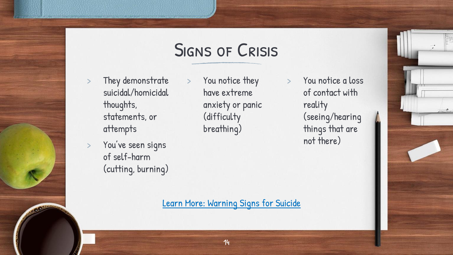#### Signs of Crisis

- They demonstrate suicidal/homicidal thoughts, statements, or attempts
- You've seen signs of self-harm (cutting, burning)
- > You notice they have extreme anxiety or panic (difficulty breathing)

> You notice a loss of contact with reality (seeing/hearing things that are not there)

[Learn More: Warning Signs for Suicide](https://caps.wellness.upenn.edu/warning-signs-for-suicide/)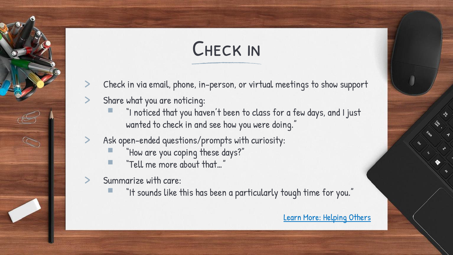# Check in

- Check in via email, phone, in-person, or virtual meetings to show support
- Share what you are noticing:
	- "I noticed that you haven't been to class for a few days, and I just wanted to check in and see how you were doing."
- Ask open-ended questions/prompts with curiosity:
	- "How are you coping these days?"
	- "Tell me more about that..."
- Summarize with care:

 $\infty$ 

"It sounds like this has been a particularly tough time for you."

[Learn More: Helping Others](https://caps.wellness.upenn.edu/helping-others/)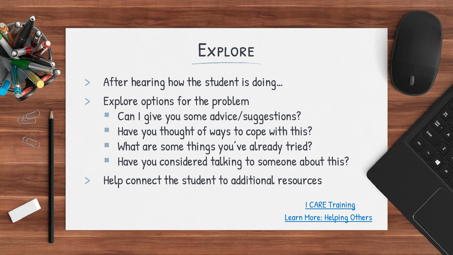### Explore

- After hearing how the student is doing...
- Explore options for the problem

 $\mathbb{C}$ 

- Can I give you some advice/suggestions?
- Have you thought of ways to cope with this?
- What are some things you've already tried?
- Have you considered talking to someone about this?
- Help connect the student to additional resources

[I CARE Training](https://caps.wellness.upenn.edu/icare/) [Learn More: Helping Others](https://caps.wellness.upenn.edu/helping-others/)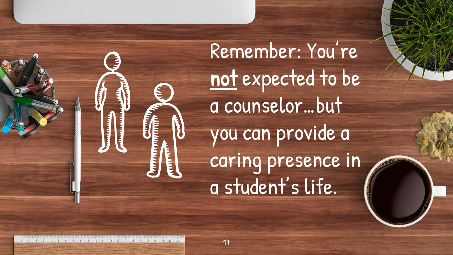

Remember: You're not expected to be a counselor…but you can provide a caring presence in a student's life.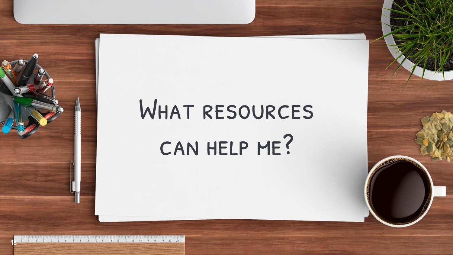# WHAT RESOURCES can help me?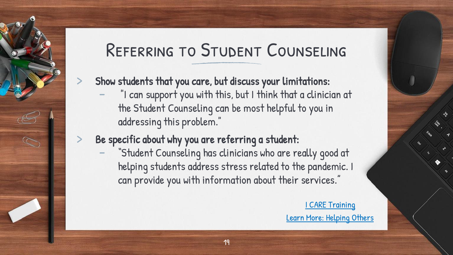### Referring to Student Counseling

- Show students that you care, but discuss your limitations:
	- "I can support you with this, but I think that a clinician at the Student Counseling can be most helpful to you in addressing this problem."
- Be specific about why you are referring a student:

S.

"Student Counseling has clinicians who are really good at helping students address stress related to the pandemic. I can provide you with information about their services."

> [I CARE Training](https://caps.wellness.upenn.edu/icare/) [Learn More: Helping Others](https://caps.wellness.upenn.edu/helping-others/)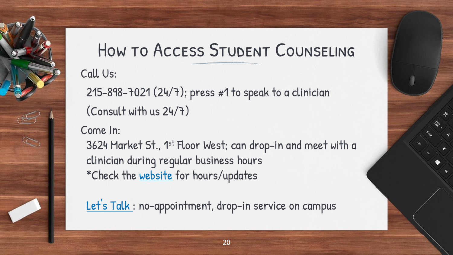## How to Access Student Counseling

Call Us:

215-898-7021 (24/7); press #1 to speak to a clinician (Consult with us 24/7)

Come In:

 $\mathbb{Z}$ 

3624 Market St., 1st Floor West; can drop-in and meet with a clinician during regular business hours \*Check the [website](https://caps.wellness.upenn.edu/letstalk/) for hours/updates

Let's Talk: no-appointment, drop-in service on campus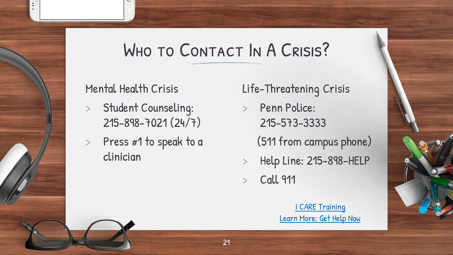### WHO TO CONTACT IN A CRISIS?

#### Mental Health Crisis

- Student Counseling: 215-898-7021 (24/7)
- > Press #1 to speak to a clinician
- Life-Threatening Crisis
- > Penn Police: 215-573-3333 (511 from campus phone) > Help Line: 215-898-HELP
- **Call 911**

[I CARE Training](https://caps.wellness.upenn.edu/icare/) [Learn More: Get Help Now](https://caps.wellness.upenn.edu/get-help-now/)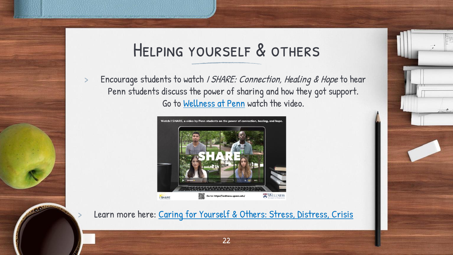#### Helping yourself & others

> Encourage students to watch / SHARE: Connection, Healing & Hope to hear Penn students discuss the power of sharing and how they got support. Go to [Wellness at Penn](https://wellness.upenn.edu/) watch the video.



Learn more here: [Caring for Yourself & Others: Stress, Distress, Crisis](https://caps.wellness.upenn.edu/stress-distress-crisis/)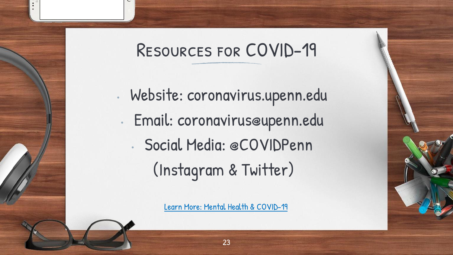#### Resources for COVID-19

• Website: coronavirus.upenn.edu • Email: coronavirus@upenn.edu • Social Media: @COVIDPenn (Instagram & Twitter)

[Learn More: Mental Health & COVID-19](https://caps.wellness.upenn.edu/your-mental-health-and-covid-19/)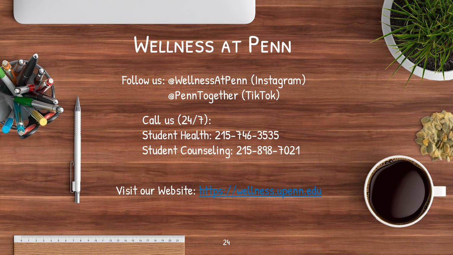# Wellness at Penn

Follow us: @WellnessAtPenn (Instagram) @PennTogether (TikTok)

Call us (24/7): Student Health: 215-746-3535 Student Counseling: 215-898-7021

Visit our Website: [https://wellness.upenn.edu](https://wellness.upenn.edu/)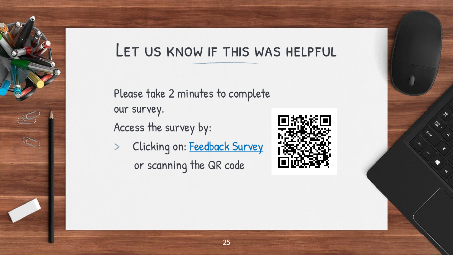#### LET US KNOW IF THIS WAS HELPFUL

Please take 2 minutes to complete our survey.

Access the survey by:

 $\mathbb{Z}$ 

Clicking on: [Feedback Survey](https://upenn.co1.qualtrics.com/jfe/form/SV_cvgysISgxpm1MDX) or scanning the QR code

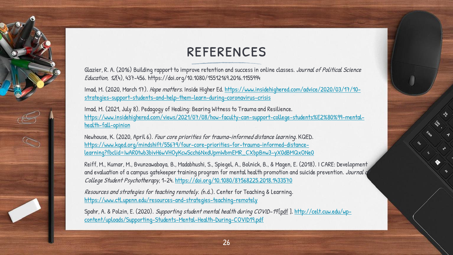#### **REFERENCES**

Glazier, R. A. (2016) Building rapport to improve retention and success in online classes. Journal of Political Science Education, 12(4), 437-456. https://doi.org/10.1080/15512169.2016.1155994

Imad, M. (2020, March 17). Hope matters. Inside Higher Ed. https://www.insidehighered.com/advice/2020/03/17/10 [strategies-support-students-and-help-them-learn-during-coronavirus-crisis](https://www.insidehighered.com/advice/2020/03/17/10-strategies-support-students-and-help-them-learn-during-coronavirus-crisis)

Imad, M. (2021, July 8). Pedagogy of Healing: Bearing Witness to Trauma and Resilience. [https://www.insidehighered.com/views/2021/07/08/how-faculty-can-support-college-students%E2%80%99-mental](https://www.insidehighered.com/views/2021/07/08/how-faculty-can-support-college-students%E2%80%99-mental-health-fall-opinion)health-fall-opinion

Newhouse, K. (2020, April 6). Four core priorities for trauma-informed distance learning. KQED. https://www.kqed.org/mindshift/55679/four-core-priorities-for-trauma-informed-distance[learning?fbclid=IwAR0twb3bivH6wVHOyKcwScch6NxdUpmWbmEMR\\_CXbpBnw3-yX0dBMQxONe0](https://www.kqed.org/mindshift/55679/four-core-priorities-for-trauma-informed-distance-learning?fbclid=IwAR0twb3bivH6wVHOyKcwScch6NxdUpmWbmEMR_CXbpBnw3-yX0dBMQxONe0)

Reiff, M., Kumar, M., Bvunzawabaya, B., Madabhushi, S., Spiegel, A., Bolnick, B., & Magen, E. (2018). I CARE: Development and evaluation of a campus gatekeeper training program for mental health promotion and suicide prevention. Journal g College Student Psychotherapy, 1-24.<https://doi.org/10.1080/87568225.2018.1433570>

Resources and strategies for teaching remotely. (n.d.). Center for Teaching & Learning. <https://www.ctl.upenn.edu/resources-and-strategies-teaching-remotely>

 $\infty$ 

Spahr, A. & Polzin, E. (2020). Supporting student mental health during COVID-19 [pdf]. http://celt.cuw.edu/wp[content/uploads/Supporting-Students-Mental-Health-During-COVID19.pdf](http://celt.cuw.edu/wp-content/uploads/Supporting-Students-Mental-Health-During-COVID19.pdf)